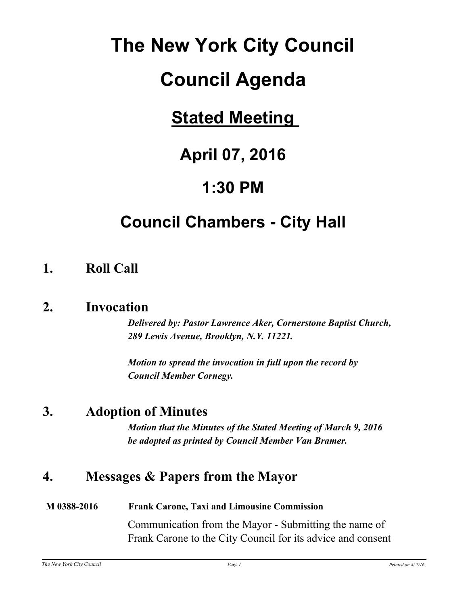# **The New York City Council**

# **Council Agenda**

# **Stated Meeting**

# **April 07, 2016**

# **1:30 PM**

# **Council Chambers - City Hall**

## **1. Roll Call**

#### **2. Invocation**

*Delivered by: Pastor Lawrence Aker, Cornerstone Baptist Church, 289 Lewis Avenue, Brooklyn, N.Y. 11221.*

*Motion to spread the invocation in full upon the record by Council Member Cornegy.*

### **3. Adoption of Minutes**

*Motion that the Minutes of the Stated Meeting of March 9, 2016 be adopted as printed by Council Member Van Bramer.*

## **4. Messages & Papers from the Mayor**

#### **M 0388-2016 Frank Carone, Taxi and Limousine Commission**

Communication from the Mayor - Submitting the name of Frank Carone to the City Council for its advice and consent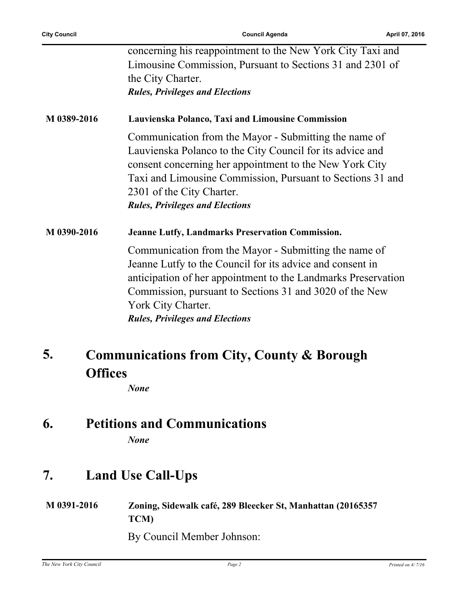| <b>Council Agenda</b>                                                                                                                                                                                                                                                                                              | April 07, 2016 |
|--------------------------------------------------------------------------------------------------------------------------------------------------------------------------------------------------------------------------------------------------------------------------------------------------------------------|----------------|
| concerning his reappointment to the New York City Taxi and<br>Limousine Commission, Pursuant to Sections 31 and 2301 of<br>the City Charter.                                                                                                                                                                       |                |
| <b>Rules, Privileges and Elections</b>                                                                                                                                                                                                                                                                             |                |
| Lauvienska Polanco, Taxi and Limousine Commission                                                                                                                                                                                                                                                                  |                |
| Communication from the Mayor - Submitting the name of<br>Lauvienska Polanco to the City Council for its advice and<br>consent concerning her appointment to the New York City<br>Taxi and Limousine Commission, Pursuant to Sections 31 and<br>2301 of the City Charter.<br><b>Rules, Privileges and Elections</b> |                |
| <b>Jeanne Lutfy, Landmarks Preservation Commission.</b>                                                                                                                                                                                                                                                            |                |
| Communication from the Mayor - Submitting the name of<br>Jeanne Lutfy to the Council for its advice and consent in<br>anticipation of her appointment to the Landmarks Preservation<br>Commission, pursuant to Sections 31 and 3020 of the New<br>York City Charter.<br><b>Rules, Privileges and Elections</b>     |                |
|                                                                                                                                                                                                                                                                                                                    |                |

**Offices** *None*

## **6. Petitions and Communications**

*None*

## **7. Land Use Call-Ups**

**M 0391-2016 Zoning, Sidewalk café, 289 Bleecker St, Manhattan (20165357 TCM)**

By Council Member Johnson:

**5.**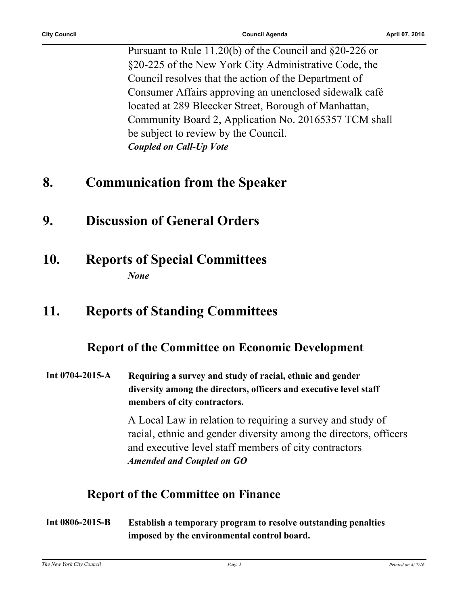Pursuant to Rule 11.20(b) of the Council and §20-226 or §20-225 of the New York City Administrative Code, the Council resolves that the action of the Department of Consumer Affairs approving an unenclosed sidewalk café located at 289 Bleecker Street, Borough of Manhattan, Community Board 2, Application No. 20165357 TCM shall be subject to review by the Council. *Coupled on Call-Up Vote*

#### **8. Communication from the Speaker**

- **9. Discussion of General Orders**
- **10. Reports of Special Committees** *None*

### **11. Reports of Standing Committees**

#### **Report of the Committee on Economic Development**

**Int 0704-2015-A Requiring a survey and study of racial, ethnic and gender diversity among the directors, officers and executive level staff members of city contractors.**

> A Local Law in relation to requiring a survey and study of racial, ethnic and gender diversity among the directors, officers and executive level staff members of city contractors *Amended and Coupled on GO*

#### **Report of the Committee on Finance**

**Int 0806-2015-B Establish a temporary program to resolve outstanding penalties imposed by the environmental control board.**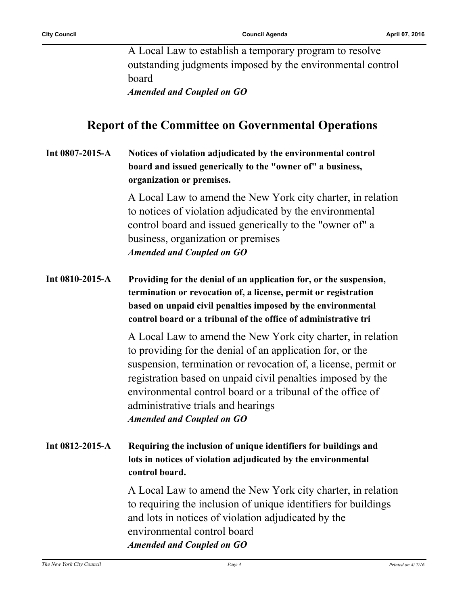A Local Law to establish a temporary program to resolve outstanding judgments imposed by the environmental control board *Amended and Coupled on GO*

**Report of the Committee on Governmental Operations**

#### **Int 0807-2015-A Notices of violation adjudicated by the environmental control board and issued generically to the "owner of" a business, organization or premises.**

A Local Law to amend the New York city charter, in relation to notices of violation adjudicated by the environmental control board and issued generically to the "owner of" a business, organization or premises *Amended and Coupled on GO*

**Int 0810-2015-A Providing for the denial of an application for, or the suspension, termination or revocation of, a license, permit or registration based on unpaid civil penalties imposed by the environmental control board or a tribunal of the office of administrative tri**

> A Local Law to amend the New York city charter, in relation to providing for the denial of an application for, or the suspension, termination or revocation of, a license, permit or registration based on unpaid civil penalties imposed by the environmental control board or a tribunal of the office of administrative trials and hearings *Amended and Coupled on GO*

**Int 0812-2015-A Requiring the inclusion of unique identifiers for buildings and lots in notices of violation adjudicated by the environmental control board.**

> A Local Law to amend the New York city charter, in relation to requiring the inclusion of unique identifiers for buildings and lots in notices of violation adjudicated by the environmental control board *Amended and Coupled on GO*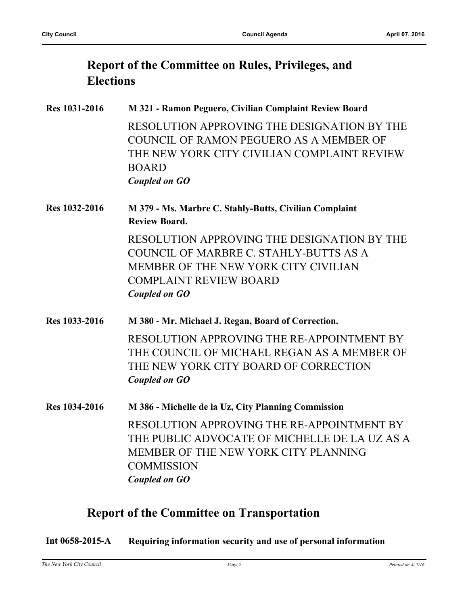### **Report of the Committee on Rules, Privileges, and Elections**

| Res 1031-2016 | M 321 - Ramon Peguero, Civilian Complaint Review Board                                                                                                                                 |
|---------------|----------------------------------------------------------------------------------------------------------------------------------------------------------------------------------------|
|               | RESOLUTION APPROVING THE DESIGNATION BY THE<br>COUNCIL OF RAMON PEGUERO AS A MEMBER OF<br>THE NEW YORK CITY CIVILIAN COMPLAINT REVIEW<br><b>BOARD</b><br><b>Coupled on GO</b>          |
| Res 1032-2016 | M 379 - Ms. Marbre C. Stahly-Butts, Civilian Complaint<br><b>Review Board.</b>                                                                                                         |
|               | RESOLUTION APPROVING THE DESIGNATION BY THE<br>COUNCIL OF MARBRE C. STAHLY-BUTTS AS A<br>MEMBER OF THE NEW YORK CITY CIVILIAN<br><b>COMPLAINT REVIEW BOARD</b><br><b>Coupled on GO</b> |
| Res 1033-2016 | M 380 - Mr. Michael J. Regan, Board of Correction.                                                                                                                                     |
|               | RESOLUTION APPROVING THE RE-APPOINTMENT BY<br>THE COUNCIL OF MICHAEL REGAN AS A MEMBER OF<br>THE NEW YORK CITY BOARD OF CORRECTION<br><b>Coupled on GO</b>                             |
| Res 1034-2016 | M 386 - Michelle de la Uz, City Planning Commission                                                                                                                                    |
|               | RESOLUTION APPROVING THE RE-APPOINTMENT BY<br>THE PUBLIC ADVOCATE OF MICHELLE DE LA UZ AS A<br>MEMBER OF THE NEW YORK CITY PLANNING<br><b>COMMISSION</b><br><b>Coupled on GO</b>       |

#### **Report of the Committee on Transportation**

**Int 0658-2015-A Requiring information security and use of personal information**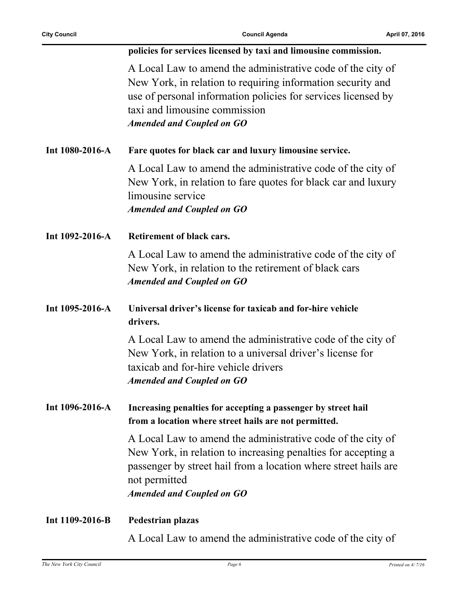L.

|                 | policies for services licensed by taxi and limousine commission.                                                                                                                                                                                                 |
|-----------------|------------------------------------------------------------------------------------------------------------------------------------------------------------------------------------------------------------------------------------------------------------------|
|                 |                                                                                                                                                                                                                                                                  |
|                 | A Local Law to amend the administrative code of the city of<br>New York, in relation to requiring information security and<br>use of personal information policies for services licensed by<br>taxi and limousine commission<br><b>Amended and Coupled on GO</b> |
| Int 1080-2016-A | Fare quotes for black car and luxury limousine service.                                                                                                                                                                                                          |
|                 | A Local Law to amend the administrative code of the city of<br>New York, in relation to fare quotes for black car and luxury<br>limousine service<br><b>Amended and Coupled on GO</b>                                                                            |
| Int 1092-2016-A | Retirement of black cars.                                                                                                                                                                                                                                        |
|                 | A Local Law to amend the administrative code of the city of<br>New York, in relation to the retirement of black cars<br><b>Amended and Coupled on GO</b>                                                                                                         |
| Int 1095-2016-A | Universal driver's license for taxicab and for-hire vehicle<br>drivers.                                                                                                                                                                                          |
|                 | A Local Law to amend the administrative code of the city of<br>New York, in relation to a universal driver's license for<br>taxicab and for-hire vehicle drivers<br><b>Amended and Coupled on GO</b>                                                             |
| Int 1096-2016-A | Increasing penalties for accepting a passenger by street hail<br>from a location where street hails are not permitted.                                                                                                                                           |
|                 | A Local Law to amend the administrative code of the city of<br>New York, in relation to increasing penalties for accepting a<br>passenger by street hail from a location where street hails are<br>not permitted<br><b>Amended and Coupled on GO</b>             |
| Int 1109-2016-B | Pedestrian plazas                                                                                                                                                                                                                                                |
|                 | A Local Law to amend the administrative code of the city of                                                                                                                                                                                                      |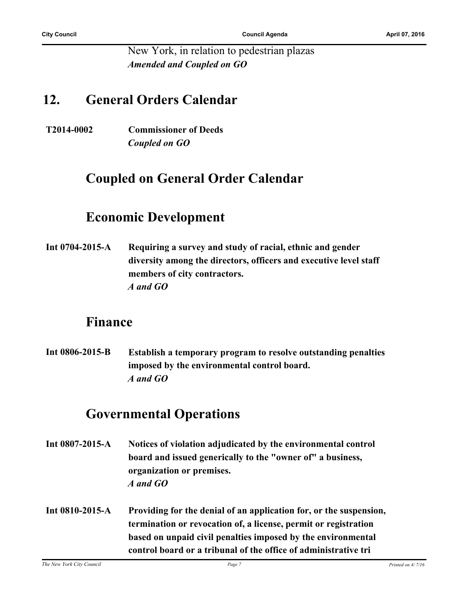New York, in relation to pedestrian plazas *Amended and Coupled on GO*

#### **12. General Orders Calendar**

**T2014-0002 Commissioner of Deeds** *Coupled on GO*

### **Coupled on General Order Calendar**

### **Economic Development**

**Int 0704-2015-A Requiring a survey and study of racial, ethnic and gender diversity among the directors, officers and executive level staff members of city contractors.** *A and GO*

#### **Finance**

**Int 0806-2015-B Establish a temporary program to resolve outstanding penalties imposed by the environmental control board.** *A and GO*

### **Governmental Operations**

- **Int 0807-2015-A Notices of violation adjudicated by the environmental control board and issued generically to the "owner of" a business, organization or premises.** *A and GO*
- **Int 0810-2015-A Providing for the denial of an application for, or the suspension, termination or revocation of, a license, permit or registration based on unpaid civil penalties imposed by the environmental control board or a tribunal of the office of administrative tri**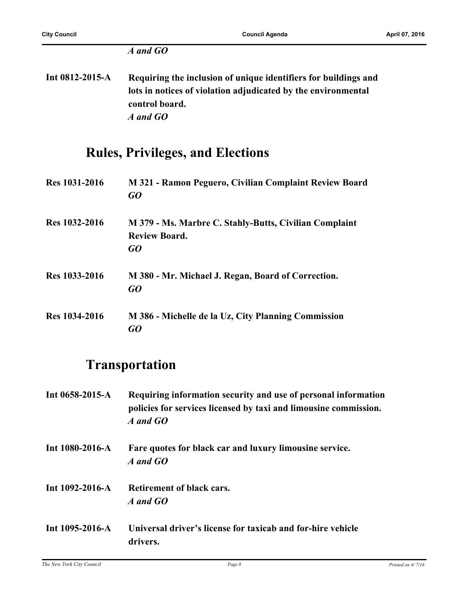#### *A and GO*

**Int 0812-2015-A Requiring the inclusion of unique identifiers for buildings and lots in notices of violation adjudicated by the environmental control board.** *A and GO*

### **Rules, Privileges, and Elections**

**Res 1031-2016 M 321 - Ramon Peguero, Civilian Complaint Review Board** *GO* **Res 1032-2016 M 379 - Ms. Marbre C. Stahly-Butts, Civilian Complaint Review Board.** *GO* **Res 1033-2016 M 380 - Mr. Michael J. Regan, Board of Correction.** *GO* **Res 1034-2016 M 386 - Michelle de la Uz, City Planning Commission** *GO*

### **Transportation**

- **Int 0658-2015-A Requiring information security and use of personal information policies for services licensed by taxi and limousine commission.** *A and GO*
- **Int 1080-2016-A Fare quotes for black car and luxury limousine service.** *A and GO*
- **Int 1092-2016-A Retirement of black cars.** *A and GO*
- **Int 1095-2016-A Universal driver's license for taxicab and for-hire vehicle drivers.**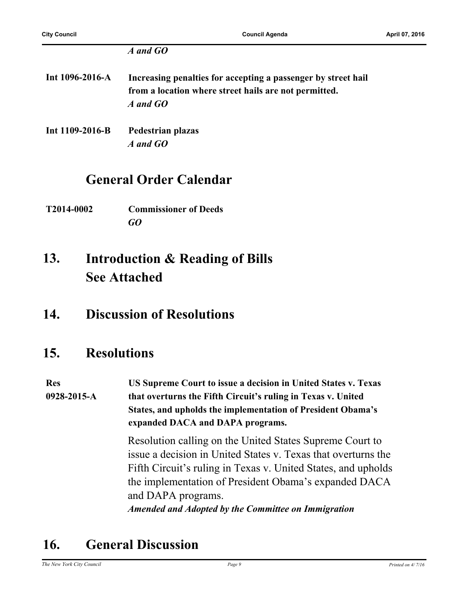#### *A and GO*

- **Int 1096-2016-A Increasing penalties for accepting a passenger by street hail from a location where street hails are not permitted.** *A and GO*
- **Int 1109-2016-B Pedestrian plazas** *A and GO*

#### **General Order Calendar**

**T2014-0002 Commissioner of Deeds** *GO*

#### **Introduction & Reading of Bills See Attached 13.**

#### **14. Discussion of Resolutions**

#### **15. Resolutions**

**Res 0928-2015-A US Supreme Court to issue a decision in United States v. Texas that overturns the Fifth Circuit's ruling in Texas v. United States, and upholds the implementation of President Obama's expanded DACA and DAPA programs.**

> Resolution calling on the United States Supreme Court to issue a decision in United States v. Texas that overturns the Fifth Circuit's ruling in Texas v. United States, and upholds the implementation of President Obama's expanded DACA and DAPA programs.

*Amended and Adopted by the Committee on Immigration*

## **16. General Discussion**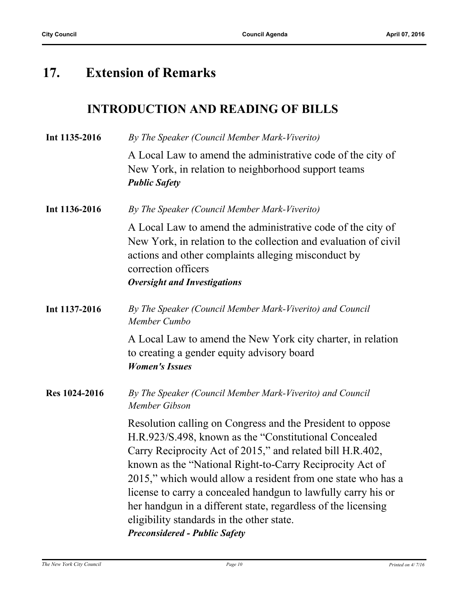## **17. Extension of Remarks**

#### **INTRODUCTION AND READING OF BILLS**

| Int 1135-2016 | By The Speaker (Council Member Mark-Viverito)                                                                                                                                                                                                                                                                                                                                                                                                                                                                                        |
|---------------|--------------------------------------------------------------------------------------------------------------------------------------------------------------------------------------------------------------------------------------------------------------------------------------------------------------------------------------------------------------------------------------------------------------------------------------------------------------------------------------------------------------------------------------|
|               | A Local Law to amend the administrative code of the city of<br>New York, in relation to neighborhood support teams<br><b>Public Safety</b>                                                                                                                                                                                                                                                                                                                                                                                           |
| Int 1136-2016 | By The Speaker (Council Member Mark-Viverito)                                                                                                                                                                                                                                                                                                                                                                                                                                                                                        |
|               | A Local Law to amend the administrative code of the city of<br>New York, in relation to the collection and evaluation of civil<br>actions and other complaints alleging misconduct by<br>correction officers<br><b>Oversight and Investigations</b>                                                                                                                                                                                                                                                                                  |
| Int 1137-2016 | By The Speaker (Council Member Mark-Viverito) and Council<br>Member Cumbo                                                                                                                                                                                                                                                                                                                                                                                                                                                            |
|               | A Local Law to amend the New York city charter, in relation<br>to creating a gender equity advisory board<br><b>Women's Issues</b>                                                                                                                                                                                                                                                                                                                                                                                                   |
| Res 1024-2016 | By The Speaker (Council Member Mark-Viverito) and Council<br>Member Gibson                                                                                                                                                                                                                                                                                                                                                                                                                                                           |
|               | Resolution calling on Congress and the President to oppose<br>H.R.923/S.498, known as the "Constitutional Concealed"<br>Carry Reciprocity Act of 2015," and related bill H.R.402,<br>known as the "National Right-to-Carry Reciprocity Act of<br>2015," which would allow a resident from one state who has a<br>license to carry a concealed handgun to lawfully carry his or<br>her handgun in a different state, regardless of the licensing<br>eligibility standards in the other state.<br><b>Preconsidered - Public Safety</b> |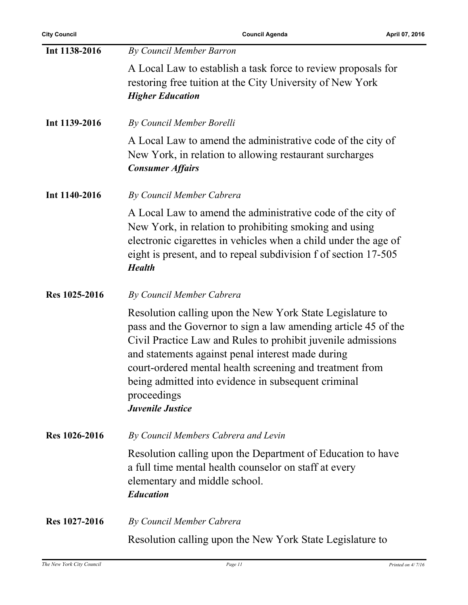| Int 1138-2016 | By Council Member Barron                                                                                                                                                                                                                                                                                                                                                                                      |
|---------------|---------------------------------------------------------------------------------------------------------------------------------------------------------------------------------------------------------------------------------------------------------------------------------------------------------------------------------------------------------------------------------------------------------------|
|               | A Local Law to establish a task force to review proposals for<br>restoring free tuition at the City University of New York<br><b>Higher Education</b>                                                                                                                                                                                                                                                         |
| Int 1139-2016 | By Council Member Borelli                                                                                                                                                                                                                                                                                                                                                                                     |
|               | A Local Law to amend the administrative code of the city of<br>New York, in relation to allowing restaurant surcharges<br><b>Consumer Affairs</b>                                                                                                                                                                                                                                                             |
| Int 1140-2016 | By Council Member Cabrera                                                                                                                                                                                                                                                                                                                                                                                     |
|               | A Local Law to amend the administrative code of the city of<br>New York, in relation to prohibiting smoking and using<br>electronic cigarettes in vehicles when a child under the age of<br>eight is present, and to repeal subdivision f of section 17-505<br><b>Health</b>                                                                                                                                  |
| Res 1025-2016 | By Council Member Cabrera                                                                                                                                                                                                                                                                                                                                                                                     |
|               | Resolution calling upon the New York State Legislature to<br>pass and the Governor to sign a law amending article 45 of the<br>Civil Practice Law and Rules to prohibit juvenile admissions<br>and statements against penal interest made during<br>court-ordered mental health screening and treatment from<br>being admitted into evidence in subsequent criminal<br>proceedings<br><b>Juvenile Justice</b> |
| Res 1026-2016 | By Council Members Cabrera and Levin                                                                                                                                                                                                                                                                                                                                                                          |
|               | Resolution calling upon the Department of Education to have<br>a full time mental health counselor on staff at every<br>elementary and middle school.<br><b>Education</b>                                                                                                                                                                                                                                     |
| Res 1027-2016 | By Council Member Cabrera                                                                                                                                                                                                                                                                                                                                                                                     |
|               | Resolution calling upon the New York State Legislature to                                                                                                                                                                                                                                                                                                                                                     |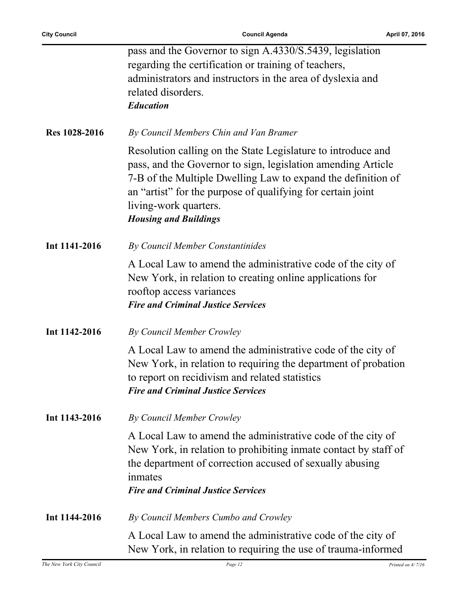|               | pass and the Governor to sign A.4330/S.5439, legislation                                                                                                                                                                                                                                                             |
|---------------|----------------------------------------------------------------------------------------------------------------------------------------------------------------------------------------------------------------------------------------------------------------------------------------------------------------------|
|               | regarding the certification or training of teachers,                                                                                                                                                                                                                                                                 |
|               | administrators and instructors in the area of dyslexia and                                                                                                                                                                                                                                                           |
|               | related disorders.                                                                                                                                                                                                                                                                                                   |
|               | <b>Education</b>                                                                                                                                                                                                                                                                                                     |
|               |                                                                                                                                                                                                                                                                                                                      |
| Res 1028-2016 | By Council Members Chin and Van Bramer                                                                                                                                                                                                                                                                               |
|               | Resolution calling on the State Legislature to introduce and<br>pass, and the Governor to sign, legislation amending Article<br>7-B of the Multiple Dwelling Law to expand the definition of<br>an "artist" for the purpose of qualifying for certain joint<br>living-work quarters.<br><b>Housing and Buildings</b> |
| Int 1141-2016 | By Council Member Constantinides                                                                                                                                                                                                                                                                                     |
|               | A Local Law to amend the administrative code of the city of                                                                                                                                                                                                                                                          |
|               |                                                                                                                                                                                                                                                                                                                      |
|               | New York, in relation to creating online applications for                                                                                                                                                                                                                                                            |
|               | rooftop access variances                                                                                                                                                                                                                                                                                             |
|               | <b>Fire and Criminal Justice Services</b>                                                                                                                                                                                                                                                                            |
| Int 1142-2016 | By Council Member Crowley                                                                                                                                                                                                                                                                                            |
|               | A Local Law to amend the administrative code of the city of                                                                                                                                                                                                                                                          |
|               | New York, in relation to requiring the department of probation                                                                                                                                                                                                                                                       |
|               | to report on recidivism and related statistics                                                                                                                                                                                                                                                                       |
|               | <b>Fire and Criminal Justice Services</b>                                                                                                                                                                                                                                                                            |
| Int 1143-2016 | By Council Member Crowley                                                                                                                                                                                                                                                                                            |
|               |                                                                                                                                                                                                                                                                                                                      |
|               | A Local Law to amend the administrative code of the city of                                                                                                                                                                                                                                                          |
|               | New York, in relation to prohibiting inmate contact by staff of                                                                                                                                                                                                                                                      |
|               | the department of correction accused of sexually abusing                                                                                                                                                                                                                                                             |
|               | inmates                                                                                                                                                                                                                                                                                                              |
|               | <b>Fire and Criminal Justice Services</b>                                                                                                                                                                                                                                                                            |
| Int 1144-2016 | By Council Members Cumbo and Crowley                                                                                                                                                                                                                                                                                 |
|               | A Local Law to amend the administrative code of the city of                                                                                                                                                                                                                                                          |
|               | New York, in relation to requiring the use of trauma-informed                                                                                                                                                                                                                                                        |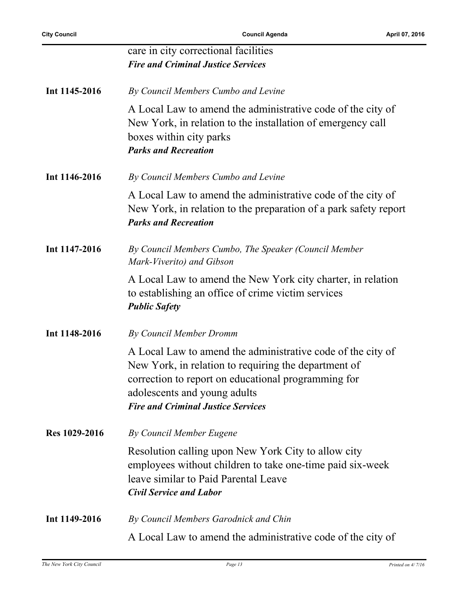|               | care in city correctional facilities<br><b>Fire and Criminal Justice Services</b>                                                                                                                                                                       |
|---------------|---------------------------------------------------------------------------------------------------------------------------------------------------------------------------------------------------------------------------------------------------------|
| Int 1145-2016 | By Council Members Cumbo and Levine                                                                                                                                                                                                                     |
|               | A Local Law to amend the administrative code of the city of<br>New York, in relation to the installation of emergency call<br>boxes within city parks<br><b>Parks and Recreation</b>                                                                    |
| Int 1146-2016 | By Council Members Cumbo and Levine                                                                                                                                                                                                                     |
|               | A Local Law to amend the administrative code of the city of<br>New York, in relation to the preparation of a park safety report<br><b>Parks and Recreation</b>                                                                                          |
| Int 1147-2016 | By Council Members Cumbo, The Speaker (Council Member<br>Mark-Viverito) and Gibson                                                                                                                                                                      |
|               | A Local Law to amend the New York city charter, in relation<br>to establishing an office of crime victim services<br><b>Public Safety</b>                                                                                                               |
| Int 1148-2016 | By Council Member Dromm                                                                                                                                                                                                                                 |
|               | A Local Law to amend the administrative code of the city of<br>New York, in relation to requiring the department of<br>correction to report on educational programming for<br>adolescents and young adults<br><b>Fire and Criminal Justice Services</b> |
| Res 1029-2016 | By Council Member Eugene                                                                                                                                                                                                                                |
|               | Resolution calling upon New York City to allow city<br>employees without children to take one-time paid six-week<br>leave similar to Paid Parental Leave<br><b>Civil Service and Labor</b>                                                              |
| Int 1149-2016 | By Council Members Garodnick and Chin                                                                                                                                                                                                                   |
|               | A Local Law to amend the administrative code of the city of                                                                                                                                                                                             |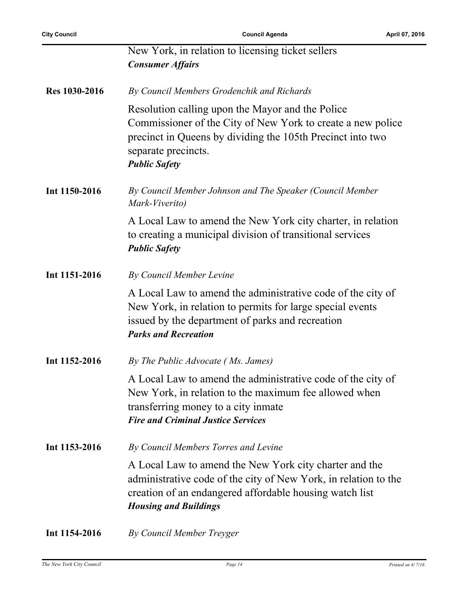|               | New York, in relation to licensing ticket sellers<br><b>Consumer Affairs</b>                                                                                                                                                 |
|---------------|------------------------------------------------------------------------------------------------------------------------------------------------------------------------------------------------------------------------------|
| Res 1030-2016 | By Council Members Grodenchik and Richards                                                                                                                                                                                   |
|               | Resolution calling upon the Mayor and the Police<br>Commissioner of the City of New York to create a new police<br>precinct in Queens by dividing the 105th Precinct into two<br>separate precincts.<br><b>Public Safety</b> |
| Int 1150-2016 | By Council Member Johnson and The Speaker (Council Member<br>Mark-Viverito)                                                                                                                                                  |
|               | A Local Law to amend the New York city charter, in relation<br>to creating a municipal division of transitional services<br><b>Public Safety</b>                                                                             |
| Int 1151-2016 | By Council Member Levine                                                                                                                                                                                                     |
|               | A Local Law to amend the administrative code of the city of<br>New York, in relation to permits for large special events<br>issued by the department of parks and recreation<br><b>Parks and Recreation</b>                  |
| Int 1152-2016 | By The Public Advocate (Ms. James)                                                                                                                                                                                           |
|               | A Local Law to amend the administrative code of the city of<br>New York, in relation to the maximum fee allowed when<br>transferring money to a city inmate<br><b>Fire and Criminal Justice Services</b>                     |
| Int 1153-2016 | By Council Members Torres and Levine                                                                                                                                                                                         |
|               | A Local Law to amend the New York city charter and the<br>administrative code of the city of New York, in relation to the<br>creation of an endangered affordable housing watch list<br><b>Housing and Buildings</b>         |
| Int 1154-2016 | By Council Member Treyger                                                                                                                                                                                                    |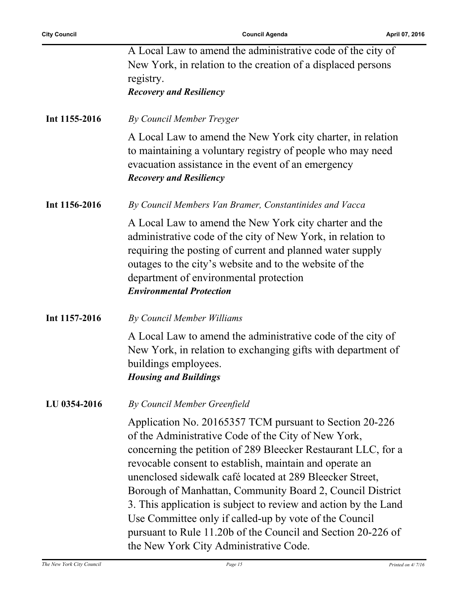|               | A Local Law to amend the administrative code of the city of<br>New York, in relation to the creation of a displaced persons<br>registry.<br><b>Recovery and Resiliency</b>                                                                                                                                                                                                                                                                                                                                                                                                                                 |
|---------------|------------------------------------------------------------------------------------------------------------------------------------------------------------------------------------------------------------------------------------------------------------------------------------------------------------------------------------------------------------------------------------------------------------------------------------------------------------------------------------------------------------------------------------------------------------------------------------------------------------|
| Int 1155-2016 | By Council Member Treyger                                                                                                                                                                                                                                                                                                                                                                                                                                                                                                                                                                                  |
|               | A Local Law to amend the New York city charter, in relation<br>to maintaining a voluntary registry of people who may need<br>evacuation assistance in the event of an emergency<br><b>Recovery and Resiliency</b>                                                                                                                                                                                                                                                                                                                                                                                          |
| Int 1156-2016 | By Council Members Van Bramer, Constantinides and Vacca                                                                                                                                                                                                                                                                                                                                                                                                                                                                                                                                                    |
|               | A Local Law to amend the New York city charter and the<br>administrative code of the city of New York, in relation to<br>requiring the posting of current and planned water supply<br>outages to the city's website and to the website of the<br>department of environmental protection<br><b>Environmental Protection</b>                                                                                                                                                                                                                                                                                 |
| Int 1157-2016 | By Council Member Williams                                                                                                                                                                                                                                                                                                                                                                                                                                                                                                                                                                                 |
|               | A Local Law to amend the administrative code of the city of<br>New York, in relation to exchanging gifts with department of<br>buildings employees.<br><b>Housing and Buildings</b>                                                                                                                                                                                                                                                                                                                                                                                                                        |
| LU 0354-2016  | By Council Member Greenfield                                                                                                                                                                                                                                                                                                                                                                                                                                                                                                                                                                               |
|               | Application No. 20165357 TCM pursuant to Section 20-226<br>of the Administrative Code of the City of New York,<br>concerning the petition of 289 Bleecker Restaurant LLC, for a<br>revocable consent to establish, maintain and operate an<br>unenclosed sidewalk café located at 289 Bleecker Street,<br>Borough of Manhattan, Community Board 2, Council District<br>3. This application is subject to review and action by the Land<br>Use Committee only if called-up by vote of the Council<br>pursuant to Rule 11.20b of the Council and Section 20-226 of<br>the New York City Administrative Code. |